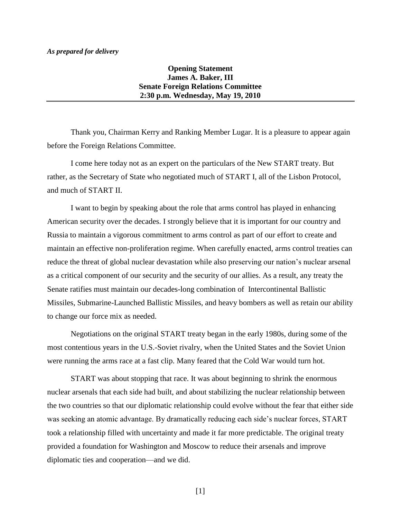## *As prepared for delivery*

## **Opening Statement James A. Baker, III Senate Foreign Relations Committee 2:30 p.m. Wednesday, May 19, 2010**

Thank you, Chairman Kerry and Ranking Member Lugar. It is a pleasure to appear again before the Foreign Relations Committee.

I come here today not as an expert on the particulars of the New START treaty. But rather, as the Secretary of State who negotiated much of START I, all of the Lisbon Protocol, and much of START II.

I want to begin by speaking about the role that arms control has played in enhancing American security over the decades. I strongly believe that it is important for our country and Russia to maintain a vigorous commitment to arms control as part of our effort to create and maintain an effective non-proliferation regime. When carefully enacted, arms control treaties can reduce the threat of global nuclear devastation while also preserving our nation's nuclear arsenal as a critical component of our security and the security of our allies. As a result, any treaty the Senate ratifies must maintain our decades-long combination of Intercontinental Ballistic Missiles, Submarine-Launched Ballistic Missiles, and heavy bombers as well as retain our ability to change our force mix as needed.

Negotiations on the original START treaty began in the early 1980s, during some of the most contentious years in the U.S.-Soviet rivalry, when the United States and the Soviet Union were running the arms race at a fast clip. Many feared that the Cold War would turn hot.

START was about stopping that race. It was about beginning to shrink the enormous nuclear arsenals that each side had built, and about stabilizing the nuclear relationship between the two countries so that our diplomatic relationship could evolve without the fear that either side was seeking an atomic advantage. By dramatically reducing each side's nuclear forces, START took a relationship filled with uncertainty and made it far more predictable. The original treaty provided a foundation for Washington and Moscow to reduce their arsenals and improve diplomatic ties and cooperation—and we did.

 $[1]$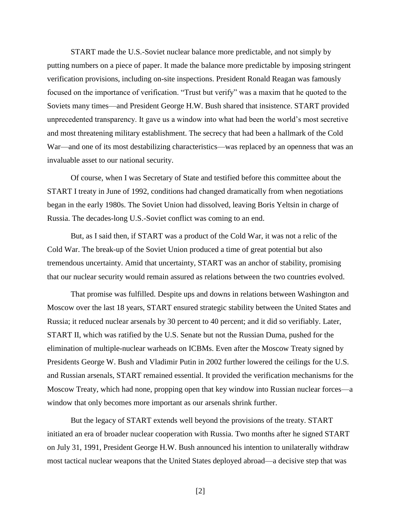START made the U.S.-Soviet nuclear balance more predictable, and not simply by putting numbers on a piece of paper. It made the balance more predictable by imposing stringent verification provisions, including on-site inspections. President Ronald Reagan was famously focused on the importance of verification. "Trust but verify" was a maxim that he quoted to the Soviets many times—and President George H.W. Bush shared that insistence. START provided unprecedented transparency. It gave us a window into what had been the world's most secretive and most threatening military establishment. The secrecy that had been a hallmark of the Cold War—and one of its most destabilizing characteristics—was replaced by an openness that was an invaluable asset to our national security.

Of course, when I was Secretary of State and testified before this committee about the START I treaty in June of 1992, conditions had changed dramatically from when negotiations began in the early 1980s. The Soviet Union had dissolved, leaving Boris Yeltsin in charge of Russia. The decades-long U.S.-Soviet conflict was coming to an end.

But, as I said then, if START was a product of the Cold War, it was not a relic of the Cold War. The break-up of the Soviet Union produced a time of great potential but also tremendous uncertainty. Amid that uncertainty, START was an anchor of stability, promising that our nuclear security would remain assured as relations between the two countries evolved.

That promise was fulfilled. Despite ups and downs in relations between Washington and Moscow over the last 18 years, START ensured strategic stability between the United States and Russia; it reduced nuclear arsenals by 30 percent to 40 percent; and it did so verifiably. Later, START II, which was ratified by the U.S. Senate but not the Russian Duma, pushed for the elimination of multiple-nuclear warheads on ICBMs. Even after the Moscow Treaty signed by Presidents George W. Bush and Vladimir Putin in 2002 further lowered the ceilings for the U.S. and Russian arsenals, START remained essential. It provided the verification mechanisms for the Moscow Treaty, which had none, propping open that key window into Russian nuclear forces—a window that only becomes more important as our arsenals shrink further.

But the legacy of START extends well beyond the provisions of the treaty. START initiated an era of broader nuclear cooperation with Russia. Two months after he signed START on July 31, 1991, President George H.W. Bush announced his intention to unilaterally withdraw most tactical nuclear weapons that the United States deployed abroad—a decisive step that was

[2]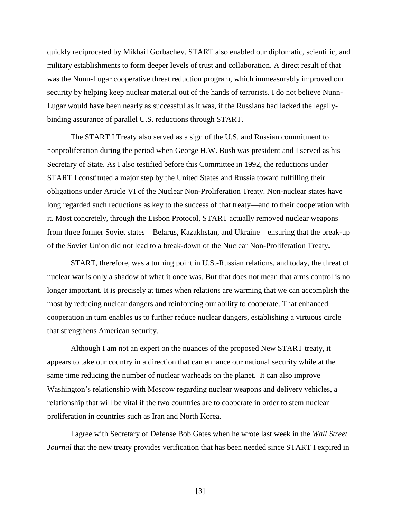quickly reciprocated by Mikhail Gorbachev. START also enabled our diplomatic, scientific, and military establishments to form deeper levels of trust and collaboration. A direct result of that was the Nunn-Lugar cooperative threat reduction program, which immeasurably improved our security by helping keep nuclear material out of the hands of terrorists. I do not believe Nunn-Lugar would have been nearly as successful as it was, if the Russians had lacked the legallybinding assurance of parallel U.S. reductions through START.

The START I Treaty also served as a sign of the U.S. and Russian commitment to nonproliferation during the period when George H.W. Bush was president and I served as his Secretary of State. As I also testified before this Committee in 1992, the reductions under START I constituted a major step by the United States and Russia toward fulfilling their obligations under Article VI of the Nuclear Non-Proliferation Treaty. Non-nuclear states have long regarded such reductions as key to the success of that treaty—and to their cooperation with it. Most concretely, through the Lisbon Protocol, START actually removed nuclear weapons from three former Soviet states—Belarus, Kazakhstan, and Ukraine—ensuring that the break-up of the Soviet Union did not lead to a break-down of the Nuclear Non-Proliferation Treaty**.** 

START, therefore, was a turning point in U.S.-Russian relations, and today, the threat of nuclear war is only a shadow of what it once was. But that does not mean that arms control is no longer important. It is precisely at times when relations are warming that we can accomplish the most by reducing nuclear dangers and reinforcing our ability to cooperate. That enhanced cooperation in turn enables us to further reduce nuclear dangers, establishing a virtuous circle that strengthens American security.

Although I am not an expert on the nuances of the proposed New START treaty, it appears to take our country in a direction that can enhance our national security while at the same time reducing the number of nuclear warheads on the planet. It can also improve Washington's relationship with Moscow regarding nuclear weapons and delivery vehicles, a relationship that will be vital if the two countries are to cooperate in order to stem nuclear proliferation in countries such as Iran and North Korea.

I agree with Secretary of Defense Bob Gates when he wrote last week in the *Wall Street Journal* that the new treaty provides verification that has been needed since START I expired in

[3]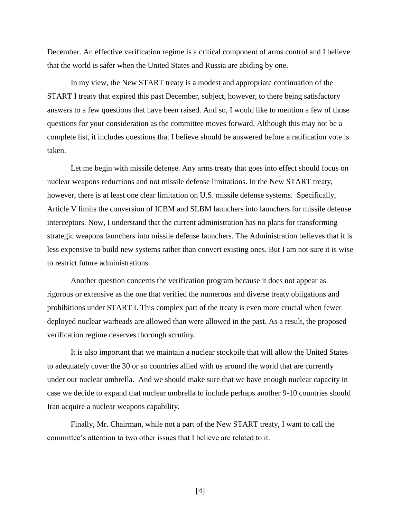December. An effective verification regime is a critical component of arms control and I believe that the world is safer when the United States and Russia are abiding by one.

In my view, the New START treaty is a modest and appropriate continuation of the START I treaty that expired this past December, subject, however, to there being satisfactory answers to a few questions that have been raised. And so, I would like to mention a few of those questions for your consideration as the committee moves forward. Although this may not be a complete list, it includes questions that I believe should be answered before a ratification vote is taken.

Let me begin with missile defense. Any arms treaty that goes into effect should focus on nuclear weapons reductions and not missile defense limitations. In the New START treaty, however, there is at least one clear limitation on U.S. missile defense systems. Specifically, Article V limits the conversion of ICBM and SLBM launchers into launchers for missile defense interceptors. Now, I understand that the current administration has no plans for transforming strategic weapons launchers into missile defense launchers. The Administration believes that it is less expensive to build new systems rather than convert existing ones. But I am not sure it is wise to restrict future administrations.

Another question concerns the verification program because it does not appear as rigorous or extensive as the one that verified the numerous and diverse treaty obligations and prohibitions under START I. This complex part of the treaty is even more crucial when fewer deployed nuclear warheads are allowed than were allowed in the past. As a result, the proposed verification regime deserves thorough scrutiny.

It is also important that we maintain a nuclear stockpile that will allow the United States to adequately cover the 30 or so countries allied with us around the world that are currently under our nuclear umbrella. And we should make sure that we have enough nuclear capacity in case we decide to expand that nuclear umbrella to include perhaps another 9-10 countries should Iran acquire a nuclear weapons capability.

Finally, Mr. Chairman, while not a part of the New START treaty, I want to call the committee's attention to two other issues that I believe are related to it.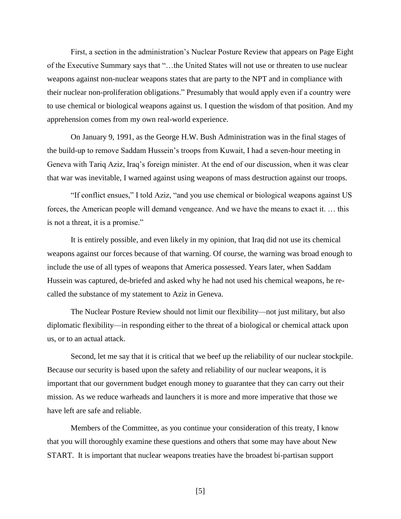First, a section in the administration's Nuclear Posture Review that appears on Page Eight of the Executive Summary says that "…the United States will not use or threaten to use nuclear weapons against non-nuclear weapons states that are party to the NPT and in compliance with their nuclear non-proliferation obligations." Presumably that would apply even if a country were to use chemical or biological weapons against us. I question the wisdom of that position. And my apprehension comes from my own real-world experience.

On January 9, 1991, as the George H.W. Bush Administration was in the final stages of the build-up to remove Saddam Hussein's troops from Kuwait, I had a seven-hour meeting in Geneva with Tariq Aziz, Iraq's foreign minister. At the end of our discussion, when it was clear that war was inevitable, I warned against using weapons of mass destruction against our troops.

"If conflict ensues," I told Aziz, "and you use chemical or biological weapons against US forces, the American people will demand vengeance. And we have the means to exact it. … this is not a threat, it is a promise."

It is entirely possible, and even likely in my opinion, that Iraq did not use its chemical weapons against our forces because of that warning. Of course, the warning was broad enough to include the use of all types of weapons that America possessed. Years later, when Saddam Hussein was captured, de-briefed and asked why he had not used his chemical weapons, he recalled the substance of my statement to Aziz in Geneva.

The Nuclear Posture Review should not limit our flexibility—not just military, but also diplomatic flexibility—in responding either to the threat of a biological or chemical attack upon us, or to an actual attack.

Second, let me say that it is critical that we beef up the reliability of our nuclear stockpile. Because our security is based upon the safety and reliability of our nuclear weapons, it is important that our government budget enough money to guarantee that they can carry out their mission. As we reduce warheads and launchers it is more and more imperative that those we have left are safe and reliable.

Members of the Committee, as you continue your consideration of this treaty, I know that you will thoroughly examine these questions and others that some may have about New START. It is important that nuclear weapons treaties have the broadest bi-partisan support

[5]